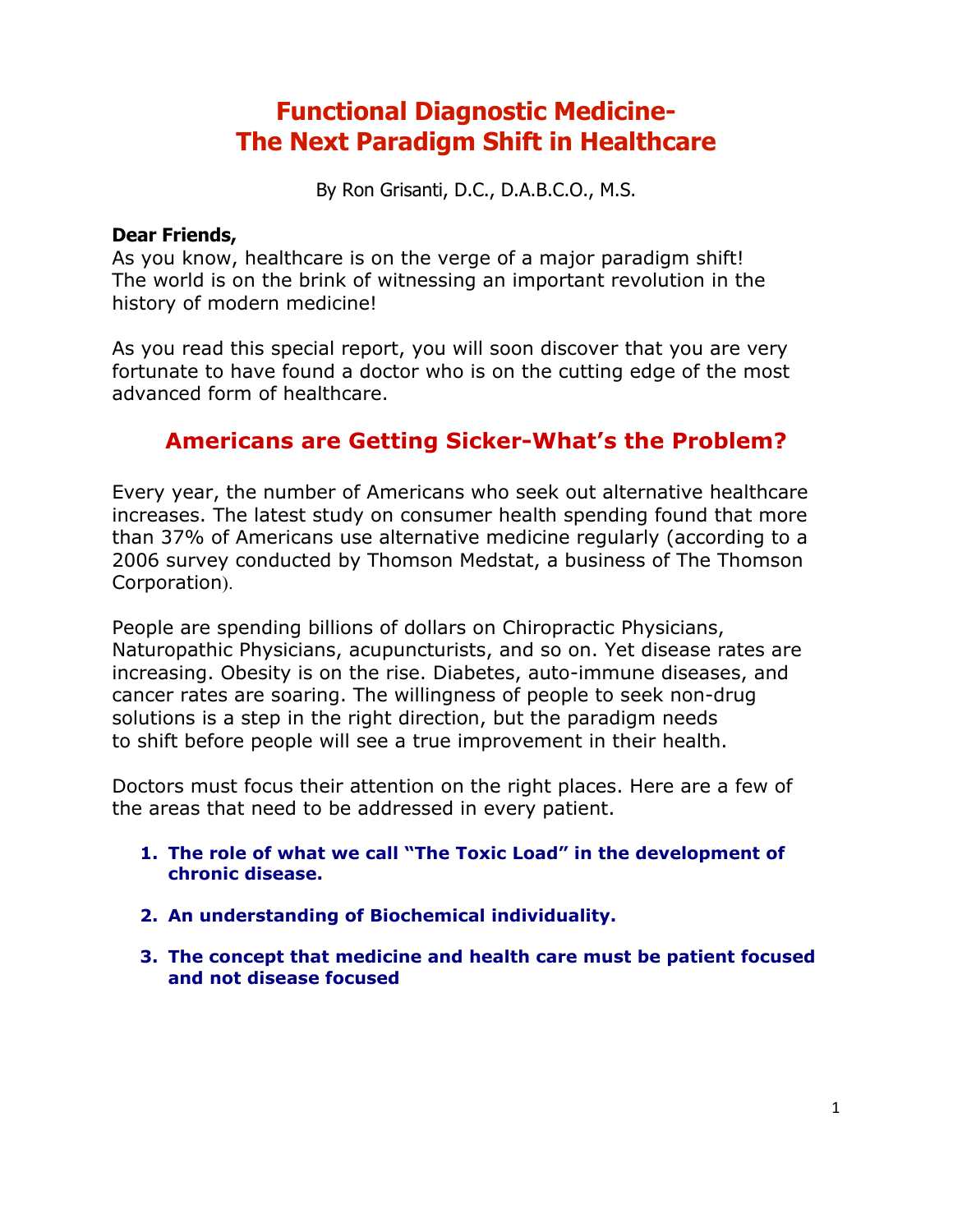# **Functional Diagnostic Medicine-The Next Paradigm Shift in Healthcare**

By Ron Grisanti, D.C., D.A.B.C.O., M.S.

#### **Dear Friends,**

As you know, healthcare is on the verge of a major paradigm shift! The world is on the brink of witnessing an important revolution in the history of modern medicine!

As you read this special report, you will soon discover that you are very fortunate to have found a doctor who is on the cutting edge of the most advanced form of healthcare.

# **Americans are Getting Sicker-What's the Problem?**

Every year, the number of Americans who seek out alternative healthcare increases. The latest study on consumer health spending found that more than 37% of Americans use alternative medicine regularly (according to a 2006 survey conducted by Thomson Medstat, a business of The Thomson Corporation).

People are spending billions of dollars on Chiropractic Physicians, Naturopathic Physicians, acupuncturists, and so on. Yet disease rates are increasing. Obesity is on the rise. Diabetes, auto-immune diseases, and cancer rates are soaring. The willingness of people to seek non-drug solutions is a step in the right direction, but the paradigm needs to shift before people will see a true improvement in their health.

Doctors must focus their attention on the right places. Here are a few of the areas that need to be addressed in every patient.

- **1. The role of what we call "The Toxic Load" in the development of chronic disease.**
- **2. An understanding of Biochemical individuality.**
- **3. The concept that medicine and health care must be patient focused and not disease focused**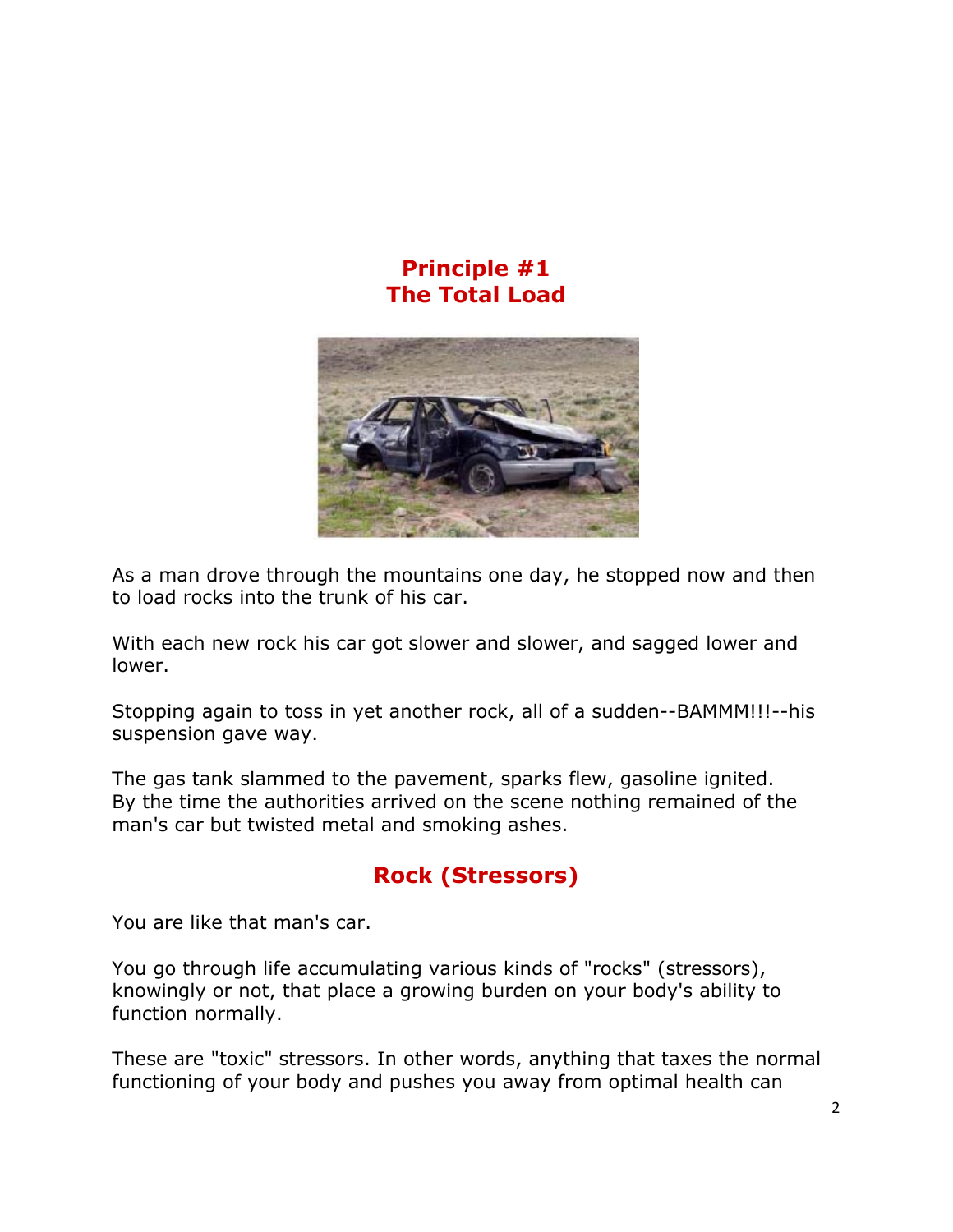# **Principle #1 The Total Load**



As a man drove through the mountains one day, he stopped now and then to load rocks into the trunk of his car.

With each new rock his car got slower and slower, and sagged lower and lower.

Stopping again to toss in yet another rock, all of a sudden--BAMMM!!!--his suspension gave way.

The gas tank slammed to the pavement, sparks flew, gasoline ignited. By the time the authorities arrived on the scene nothing remained of the man's car but twisted metal and smoking ashes.

# **Rock (Stressors)**

You are like that man's car.

You go through life accumulating various kinds of "rocks" (stressors), knowingly or not, that place a growing burden on your body's ability to function normally.

These are "toxic" stressors. In other words, anything that taxes the normal functioning of your body and pushes you away from optimal health can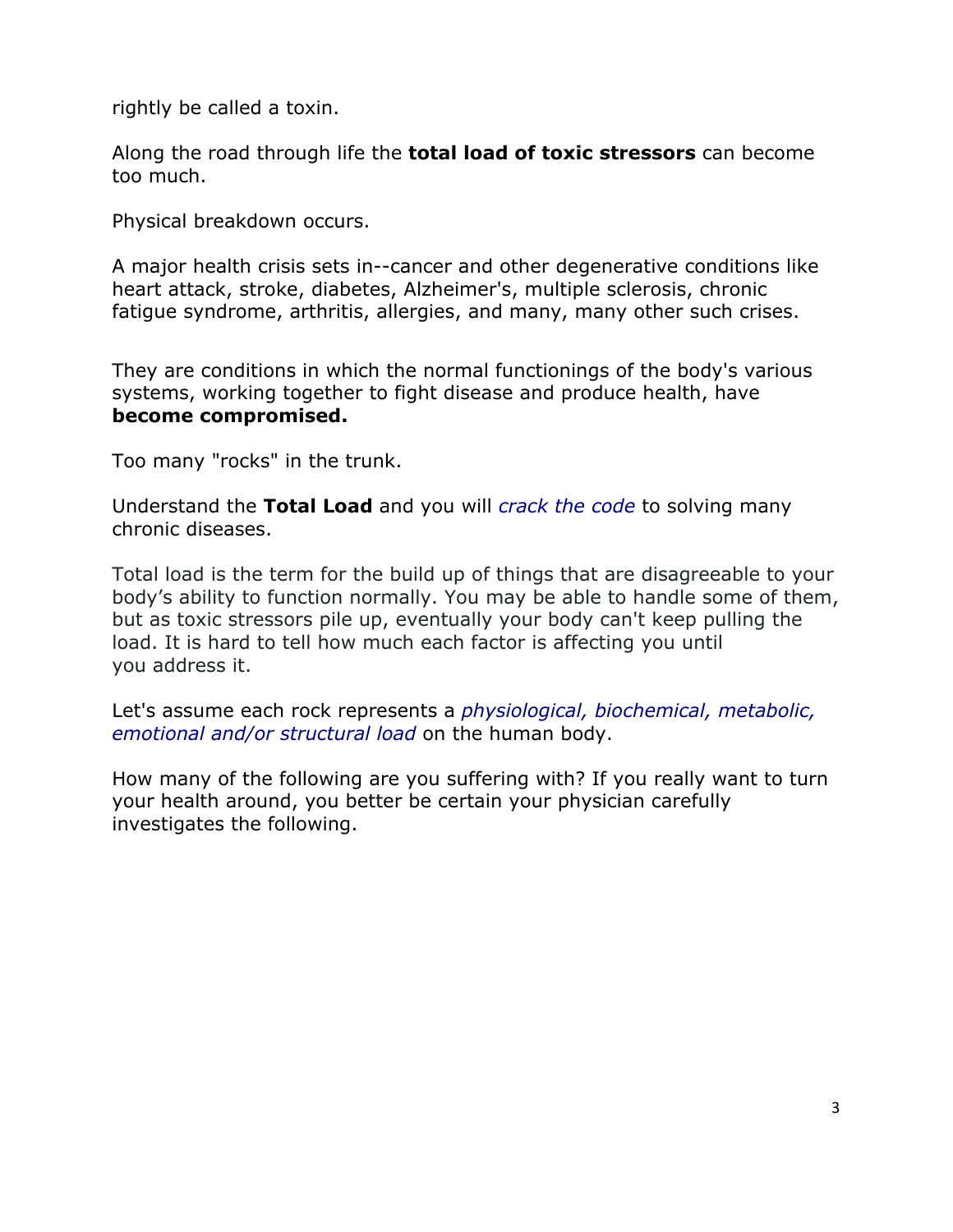rightly be called a toxin.

Along the road through life the **total load of toxic stressors** can become too much.

Physical breakdown occurs.

A major health crisis sets in--cancer and other degenerative conditions like heart attack, stroke, diabetes, Alzheimer's, multiple sclerosis, chronic fatigue syndrome, arthritis, allergies, and many, many other such crises.

They are conditions in which the normal functionings of the body's various systems, working together to fight disease and produce health, have **become compromised.**

Too many "rocks" in the trunk.

Understand the **Total Load** and you will *crack the code* to solving many chronic diseases.

Total load is the term for the build up of things that are disagreeable to your body's ability to function normally. You may be able to handle some of them, but as toxic stressors pile up, eventually your body can't keep pulling the load. It is hard to tell how much each factor is affecting you until you address it.

Let's assume each rock represents a *physiological, biochemical, metabolic, emotional and/or structural load* on the human body.

How many of the following are you suffering with? If you really want to turn your health around, you better be certain your physician carefully investigates the following.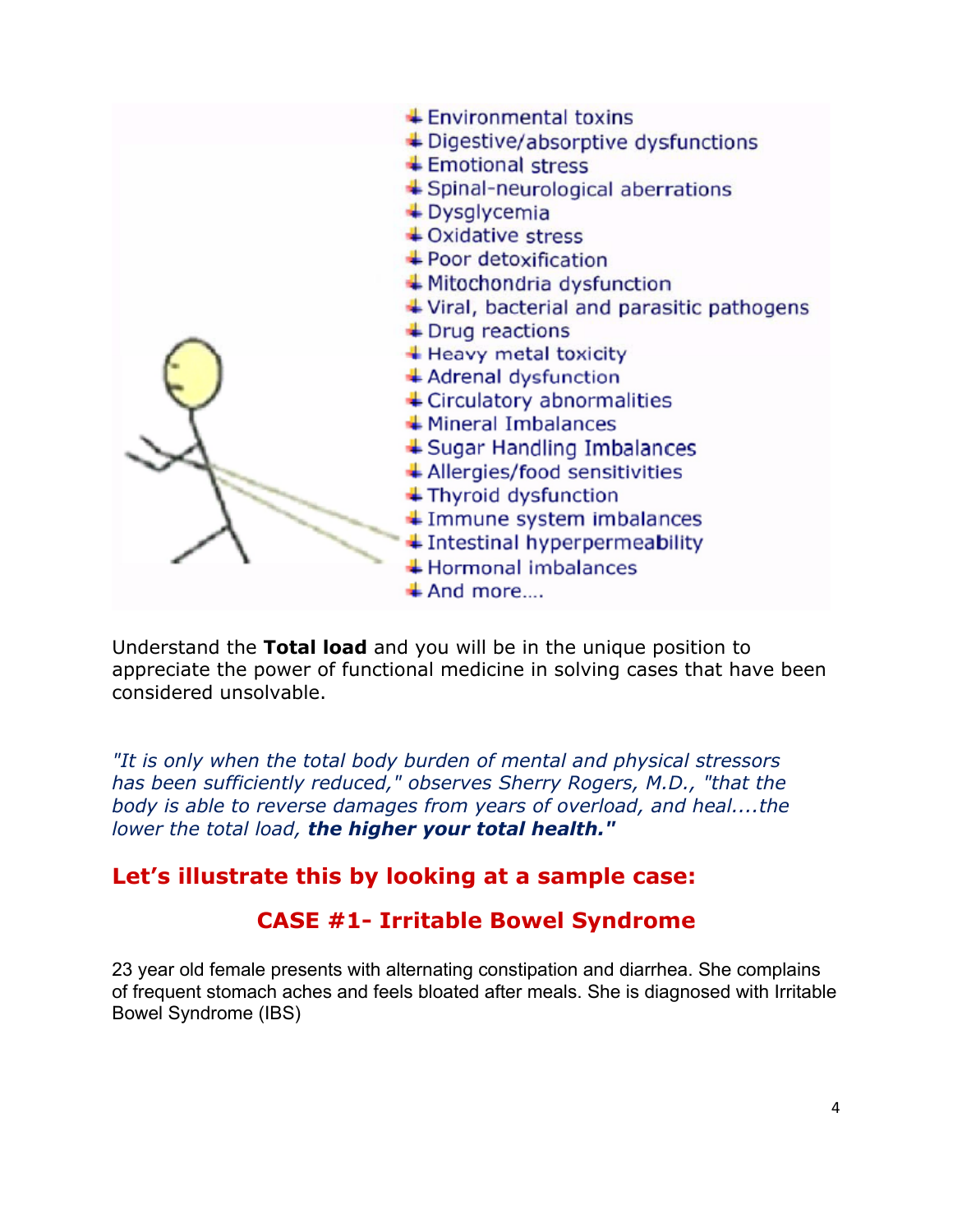

Understand the **Total load** and you will be in the unique position to appreciate the power of functional medicine in solving cases that have been considered unsolvable.

*"It is only when the total body burden of mental and physical stressors has been sufficiently reduced," observes Sherry Rogers, M.D., "that the body is able to reverse damages from years of overload, and heal....the lower the total load, the higher your total health."* 

### **Let's illustrate this by looking at a sample case:**

### **CASE #1- Irritable Bowel Syndrome**

23 year old female presents with alternating constipation and diarrhea. She complains of frequent stomach aches and feels bloated after meals. She is diagnosed with Irritable Bowel Syndrome (IBS)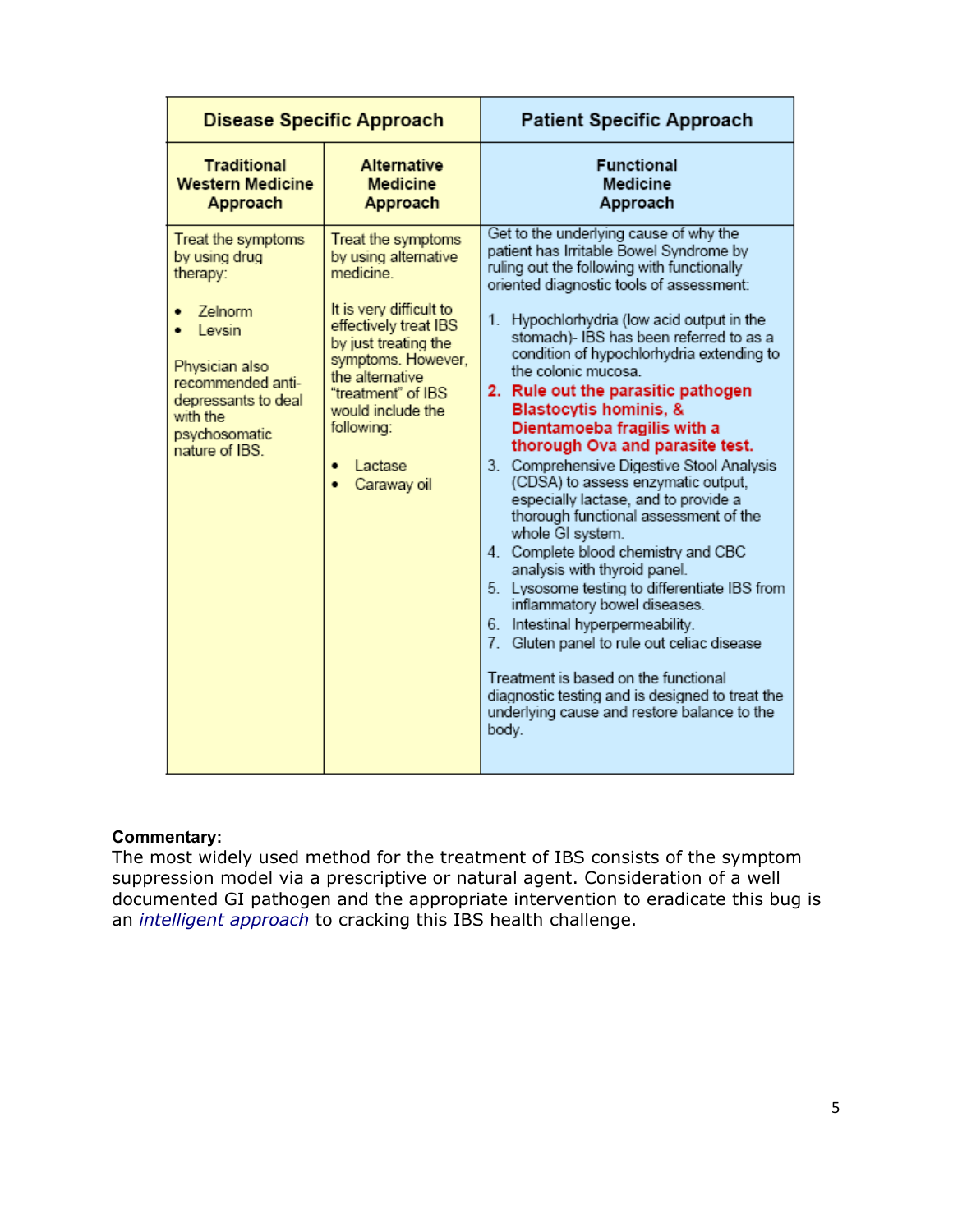| <b>Disease Specific Approach</b>                                                                                                                                                  |                                                                                                                                                                                                                                                                 | <b>Patient Specific Approach</b>                                                                                                                                                                                                                                                                                                                                                                                                                                                                                                                                                                                                                                                                                                                                                                                                                                                                                                                                                                                                                                           |
|-----------------------------------------------------------------------------------------------------------------------------------------------------------------------------------|-----------------------------------------------------------------------------------------------------------------------------------------------------------------------------------------------------------------------------------------------------------------|----------------------------------------------------------------------------------------------------------------------------------------------------------------------------------------------------------------------------------------------------------------------------------------------------------------------------------------------------------------------------------------------------------------------------------------------------------------------------------------------------------------------------------------------------------------------------------------------------------------------------------------------------------------------------------------------------------------------------------------------------------------------------------------------------------------------------------------------------------------------------------------------------------------------------------------------------------------------------------------------------------------------------------------------------------------------------|
| <b>Traditional</b><br><b>Western Medicine</b><br>Approach                                                                                                                         | <b>Alternative</b><br><b>Medicine</b><br>Approach                                                                                                                                                                                                               | <b>Functional</b><br><b>Medicine</b><br>Approach                                                                                                                                                                                                                                                                                                                                                                                                                                                                                                                                                                                                                                                                                                                                                                                                                                                                                                                                                                                                                           |
| Treat the symptoms<br>by using drug<br>therapy:<br>Zelnorm<br>Levsin<br>Physician also<br>recommended anti-<br>depressants to deal<br>with the<br>psychosomatic<br>nature of IBS. | Treat the symptoms<br>by using alternative<br>medicine.<br>It is very difficult to<br>effectively treat IBS<br>by just treating the<br>symptoms. However,<br>the alternative<br>"treatment" of IBS<br>would include the<br>following:<br>Lactase<br>Caraway oil | Get to the underlying cause of why the<br>patient has Irritable Bowel Syndrome by<br>ruling out the following with functionally<br>oriented diagnostic tools of assessment:<br>1. Hypochlorhydria (low acid output in the<br>stomach)- IBS has been referred to as a<br>condition of hypochlorhydria extending to<br>the colonic mucosa.<br>2. Rule out the parasitic pathogen<br><b>Blastocytis hominis, &amp;</b><br>Dientamoeba fragilis with a<br>thorough Ova and parasite test.<br>3. Comprehensive Digestive Stool Analysis<br>(CDSA) to assess enzymatic output,<br>especially lactase, and to provide a<br>thorough functional assessment of the<br>whole GI system.<br>4. Complete blood chemistry and CBC<br>analysis with thyroid panel.<br>5. Lysosome testing to differentiate IBS from<br>inflammatory bowel diseases.<br>6. Intestinal hyperpermeability.<br>7. Gluten panel to rule out celiac disease<br>Treatment is based on the functional<br>diagnostic testing and is designed to treat the<br>underlying cause and restore balance to the<br>body. |

#### **Commentary:**

The most widely used method for the treatment of IBS consists of the symptom suppression model via a prescriptive or natural agent. Consideration of a well documented GI pathogen and the appropriate intervention to eradicate this bug is an *intelligent approach* to cracking this IBS health challenge.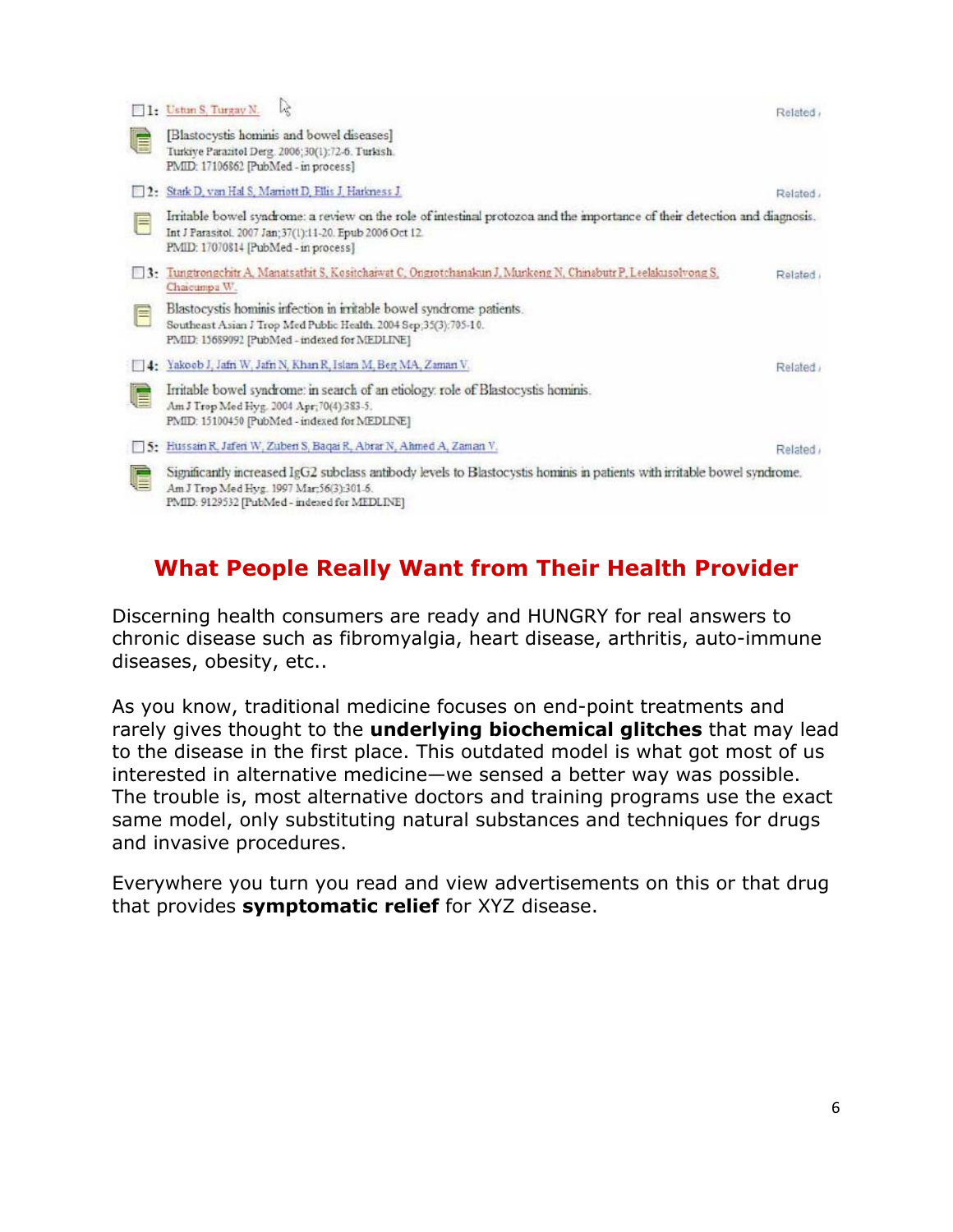|                        | 1: Ustun S. Turgay N.<br>Lξ                                                                                                                                                                                                     | Related |  |  |
|------------------------|---------------------------------------------------------------------------------------------------------------------------------------------------------------------------------------------------------------------------------|---------|--|--|
| E                      | [Blastocystis hominis and bowel diseases]<br>Turkiye Parazitol Derg. 2006;30(1):72-6. Turkish.<br>PMID: 17106862 [PubMed - in process]                                                                                          |         |  |  |
| $\Box$ 2.              | Stark D, van Hal S, Marriott D, Ellis J, Harkness J.                                                                                                                                                                            | Related |  |  |
| F                      | Irritable bowel syndrome: a review on the role of intestinal protozoa and the importance of their detection and diagnosis.<br>Int J Parasitol. 2007 Jan; 37(1):11-20. Epub 2006 Oct 12.<br>PMID: 17070814 [PubMed - in process] |         |  |  |
| $\vert \cdot \vert$ 3. | Tungtrongchitr A. Manatsathit S. Kositchanvat C. Ongrotchanakun J. Munkong N. Chinabutr P. Leelakusolvong S.<br>Chaicumpa W.                                                                                                    | Related |  |  |
| E                      | Blastocystis hominis infection in irritable bowel syndrome patients.<br>Southeast Asian J Trop Med Public Health. 2004 Sep:35(3):705-10.<br>PMID: 15689092 [PubMed - indexed for MEDLINE]                                       |         |  |  |
| $\frac{1}{2}$          | Yakoob J, Jafn W, Jafn N, Khan R, Islam M, Beg MA, Zaman V,                                                                                                                                                                     | Related |  |  |
| E                      | Irritable bowel syndrome: in search of an etiology: role of Blastocystis hominis.<br>Am J Trop Med Hyg. 2004 Apr; 70(4):383-5.<br>PMID: 15100450 [PubMed - indexed for MEDLINE]                                                 |         |  |  |
|                        | 5: Hussain R, Jaferi W, Zuberi S, Baqai R, Abrar N, Ahmed A, Zaman V.                                                                                                                                                           | Related |  |  |
|                        | Significantly increased IgG2 subclass antibody levels to Blastocystis hominis in patients with irritable bowel syndrome.<br>Am J Trop Med Hyg. 1997 Mar:56(3):301-6.<br>PMID: 9129532 [PubMed - indexed for MEDLINE]            |         |  |  |

# **What People Really Want from Their Health Provider**

Discerning health consumers are ready and HUNGRY for real answers to chronic disease such as fibromyalgia, heart disease, arthritis, auto-immune diseases, obesity, etc..

As you know, traditional medicine focuses on end-point treatments and rarely gives thought to the **underlying biochemical glitches** that may lead to the disease in the first place. This outdated model is what got most of us interested in alternative medicine—we sensed a better way was possible. The trouble is, most alternative doctors and training programs use the exact same model, only substituting natural substances and techniques for drugs and invasive procedures.

Everywhere you turn you read and view advertisements on this or that drug that provides **symptomatic relief** for XYZ disease.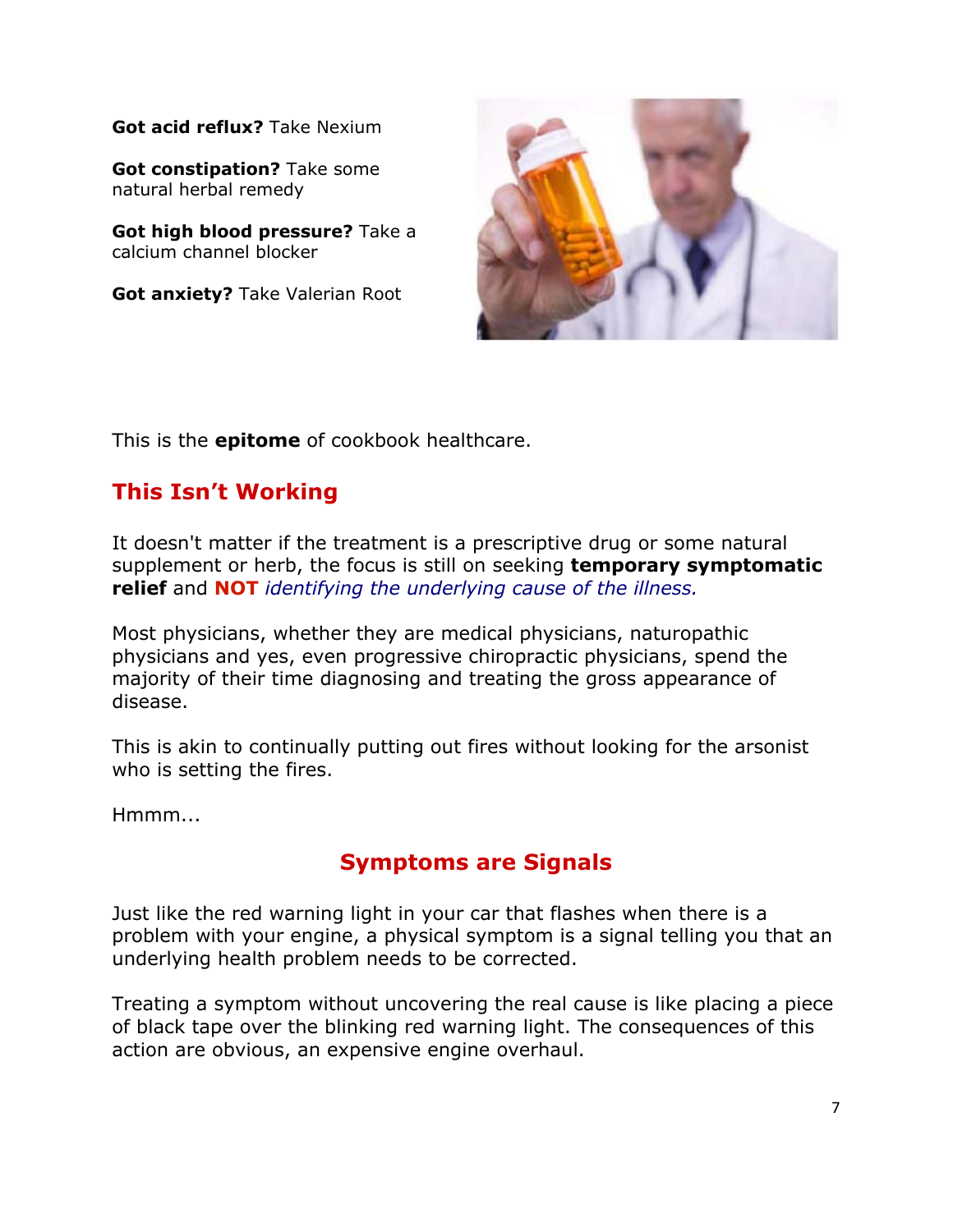**Got acid reflux?** Take Nexium

**Got constipation?** Take some natural herbal remedy

**Got high blood pressure?** Take a calcium channel blocker

**Got anxiety?** Take Valerian Root



This is the **epitome** of cookbook healthcare.

### **This Isn't Working**

It doesn't matter if the treatment is a prescriptive drug or some natural supplement or herb, the focus is still on seeking **temporary symptomatic relief** and **NOT** *identifying the underlying cause of the illness.*

Most physicians, whether they are medical physicians, naturopathic physicians and yes, even progressive chiropractic physicians, spend the majority of their time diagnosing and treating the gross appearance of disease.

This is akin to continually putting out fires without looking for the arsonist who is setting the fires.

Hmmm...

# **Symptoms are Signals**

Just like the red warning light in your car that flashes when there is a problem with your engine, a physical symptom is a signal telling you that an underlying health problem needs to be corrected.

Treating a symptom without uncovering the real cause is like placing a piece of black tape over the blinking red warning light. The consequences of this action are obvious, an expensive engine overhaul.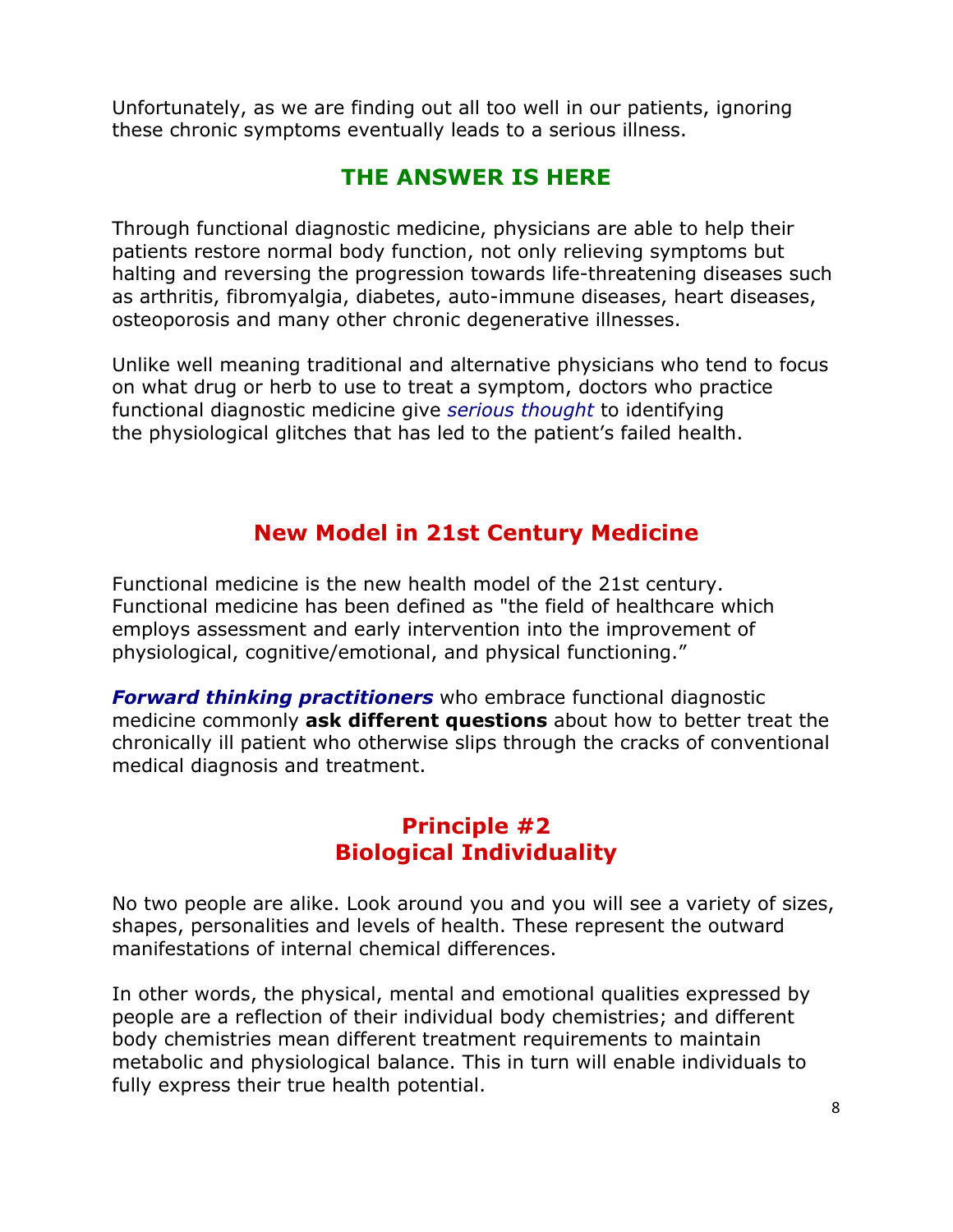Unfortunately, as we are finding out all too well in our patients, ignoring these chronic symptoms eventually leads to a serious illness.

### **THE ANSWER IS HERE**

Through functional diagnostic medicine, physicians are able to help their patients restore normal body function, not only relieving symptoms but halting and reversing the progression towards life-threatening diseases such as arthritis, fibromyalgia, diabetes, auto-immune diseases, heart diseases, osteoporosis and many other chronic degenerative illnesses.

Unlike well meaning traditional and alternative physicians who tend to focus on what drug or herb to use to treat a symptom, doctors who practice functional diagnostic medicine give *serious thought* to identifying the physiological glitches that has led to the patient's failed health.

# **New Model in 21st Century Medicine**

Functional medicine is the new health model of the 21st century. Functional medicine has been defined as "the field of healthcare which employs assessment and early intervention into the improvement of physiological, cognitive/emotional, and physical functioning."

*Forward thinking practitioners* who embrace functional diagnostic medicine commonly **ask different questions** about how to better treat the chronically ill patient who otherwise slips through the cracks of conventional medical diagnosis and treatment.

### **Principle #2 Biological Individuality**

No two people are alike. Look around you and you will see a variety of sizes, shapes, personalities and levels of health. These represent the outward manifestations of internal chemical differences.

In other words, the physical, mental and emotional qualities expressed by people are a reflection of their individual body chemistries; and different body chemistries mean different treatment requirements to maintain metabolic and physiological balance. This in turn will enable individuals to fully express their true health potential.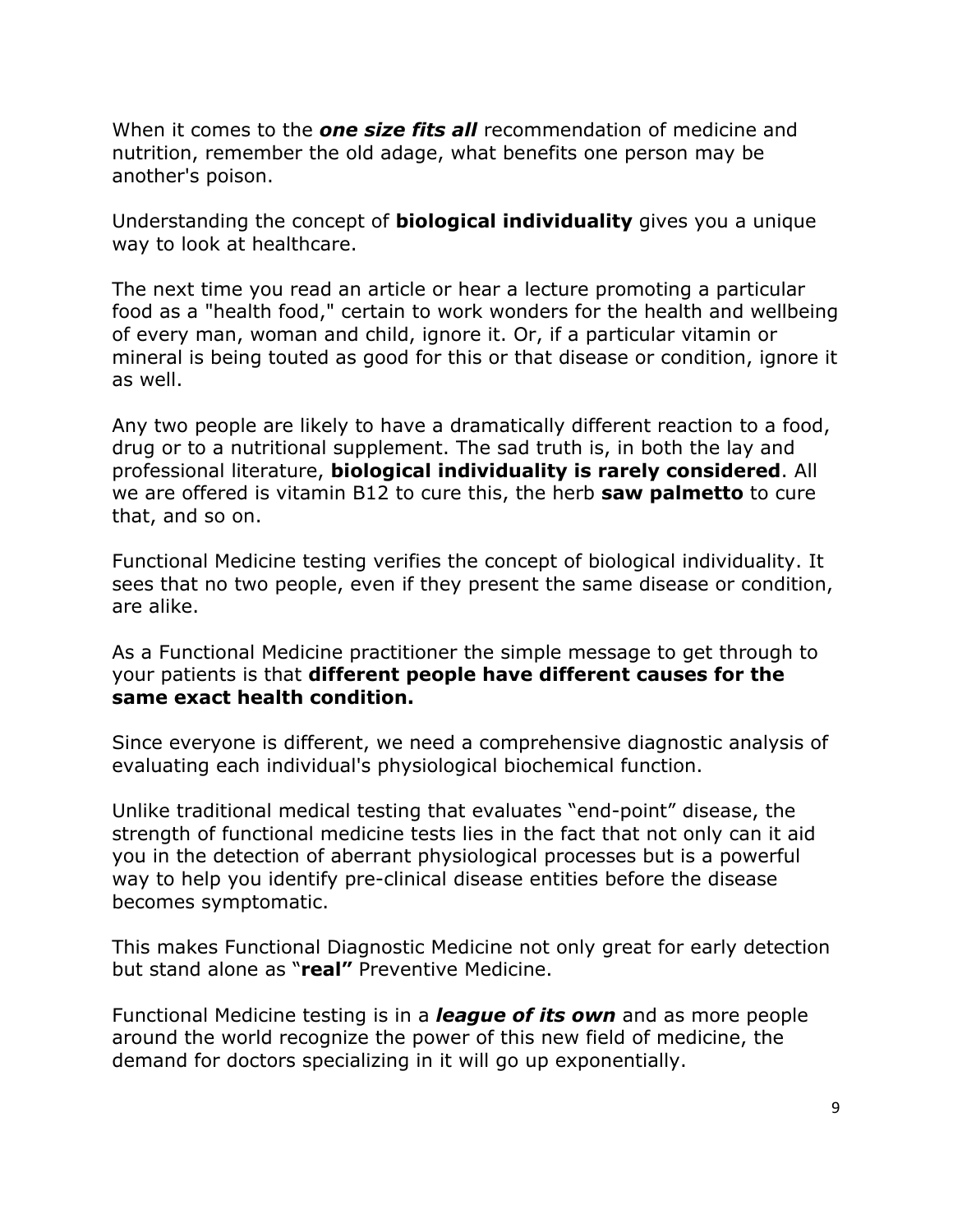When it comes to the *one size fits all* recommendation of medicine and nutrition, remember the old adage, what benefits one person may be another's poison.

Understanding the concept of **biological individuality** gives you a unique way to look at healthcare.

The next time you read an article or hear a lecture promoting a particular food as a "health food," certain to work wonders for the health and wellbeing of every man, woman and child, ignore it. Or, if a particular vitamin or mineral is being touted as good for this or that disease or condition, ignore it as well.

Any two people are likely to have a dramatically different reaction to a food, drug or to a nutritional supplement. The sad truth is, in both the lay and professional literature, **biological individuality is rarely considered**. All we are offered is vitamin B12 to cure this, the herb **saw palmetto** to cure that, and so on.

Functional Medicine testing verifies the concept of biological individuality. It sees that no two people, even if they present the same disease or condition, are alike.

As a Functional Medicine practitioner the simple message to get through to your patients is that **different people have different causes for the same exact health condition.** 

Since everyone is different, we need a comprehensive diagnostic analysis of evaluating each individual's physiological biochemical function.

Unlike traditional medical testing that evaluates "end-point" disease, the strength of functional medicine tests lies in the fact that not only can it aid you in the detection of aberrant physiological processes but is a powerful way to help you identify pre-clinical disease entities before the disease becomes symptomatic.

This makes Functional Diagnostic Medicine not only great for early detection but stand alone as "**real"** Preventive Medicine.

Functional Medicine testing is in a *league of its own* and as more people around the world recognize the power of this new field of medicine, the demand for doctors specializing in it will go up exponentially.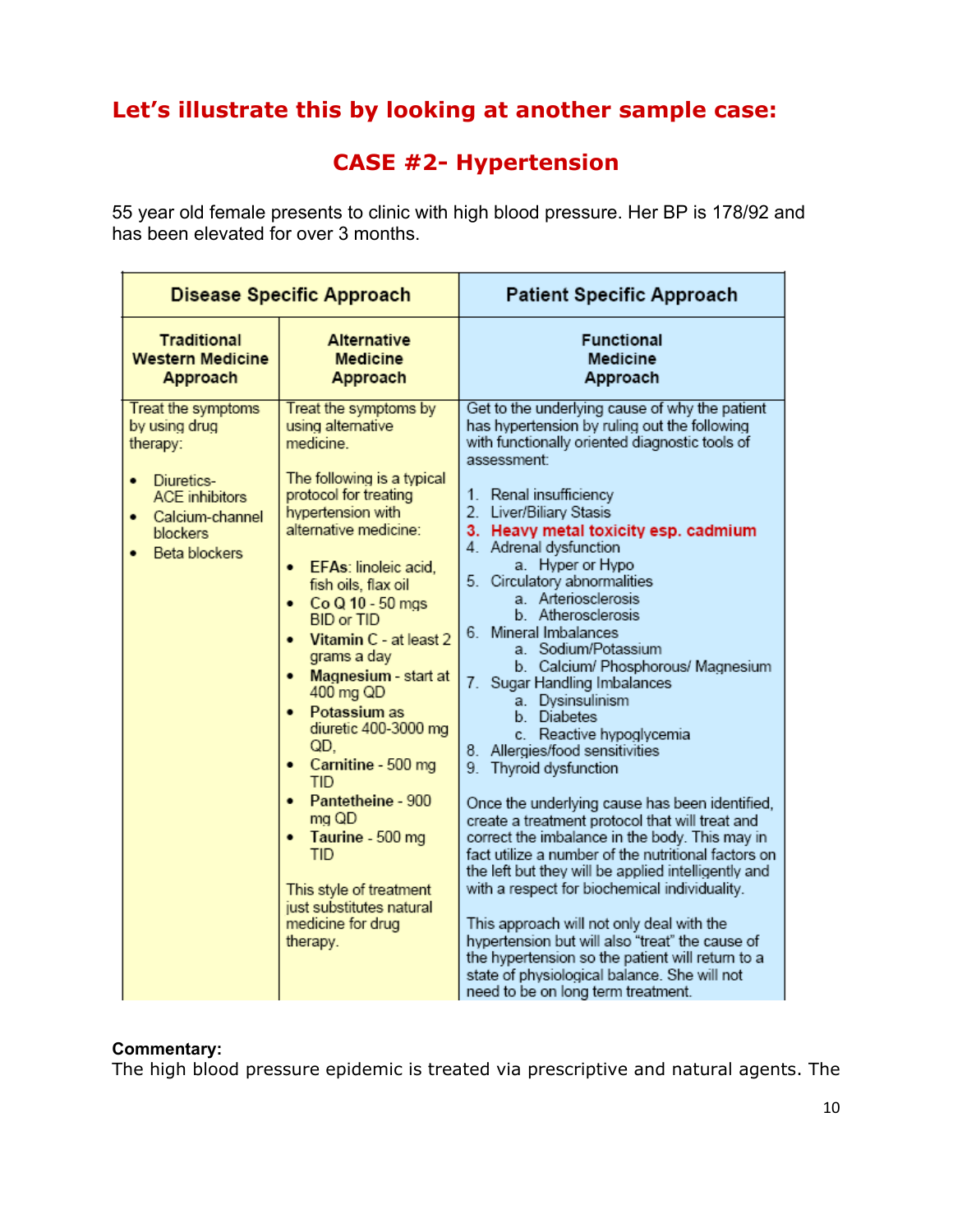# **Let's illustrate this by looking at another sample case:**

### **CASE #2- Hypertension**

55 year old female presents to clinic with high blood pressure. Her BP is 178/92 and has been elevated for over 3 months.

| <b>Disease Specific Approach</b> |                                                                                                                                                               |                                                                                                                                                                                                                                                                                                                                                                                                                                                                                                                                                                                                   | <b>Patient Specific Approach</b>                                                                                                                                                                                                                                                                                                                                                                                                                                                                                                                                                                                                                                                                                                                                                                                                                                                                                                                                                                                                                                                                                                                                                                          |
|----------------------------------|---------------------------------------------------------------------------------------------------------------------------------------------------------------|---------------------------------------------------------------------------------------------------------------------------------------------------------------------------------------------------------------------------------------------------------------------------------------------------------------------------------------------------------------------------------------------------------------------------------------------------------------------------------------------------------------------------------------------------------------------------------------------------|-----------------------------------------------------------------------------------------------------------------------------------------------------------------------------------------------------------------------------------------------------------------------------------------------------------------------------------------------------------------------------------------------------------------------------------------------------------------------------------------------------------------------------------------------------------------------------------------------------------------------------------------------------------------------------------------------------------------------------------------------------------------------------------------------------------------------------------------------------------------------------------------------------------------------------------------------------------------------------------------------------------------------------------------------------------------------------------------------------------------------------------------------------------------------------------------------------------|
|                                  | <b>Traditional</b><br><b>Western Medicine</b><br>Approach                                                                                                     | <b>Alternative</b><br><b>Medicine</b><br>Approach                                                                                                                                                                                                                                                                                                                                                                                                                                                                                                                                                 | <b>Functional</b><br><b>Medicine</b><br>Approach                                                                                                                                                                                                                                                                                                                                                                                                                                                                                                                                                                                                                                                                                                                                                                                                                                                                                                                                                                                                                                                                                                                                                          |
|                                  | Treat the symptoms<br>by using drug<br>therapy:<br>Diuretics-<br>$\bullet$<br><b>ACE</b> inhibitors<br>Calcium-channel<br>٠<br>blockers<br>Beta blockers<br>٠ | Treat the symptoms by<br>using alternative<br>medicine.<br>The following is a typical<br>protocol for treating<br>hypertension with<br>alternative medicine:<br>EFAs: linoleic acid,<br>fish oils, flax oil<br>Co Q 10 - 50 mgs<br>٠<br><b>BID or TID</b><br>Vitamin C - at least 2<br>٠<br>grams a day<br>Magnesium - start at<br>400 mg QD<br>Potassium as<br>٠<br>diuretic 400-3000 mg<br>QD.<br>Carnitine - 500 mg<br>٠<br><b>TID</b><br>Pantetheine - 900<br>mg QD<br>Taurine - 500 mg<br><b>TID</b><br>This style of treatment<br>just substitutes natural<br>medicine for drug<br>therapy. | Get to the underlying cause of why the patient<br>has hypertension by ruling out the following<br>with functionally oriented diagnostic tools of<br>assessment:<br>1. Renal insufficiency<br>2. Liver/Biliary Stasis<br>3. Heavy metal toxicity esp. cadmium<br>4. Adrenal dysfunction<br>a. Hyper or Hypo<br>5. Circulatory abnormalities<br>a. Arteriosclerosis<br>b. Atherosclerosis<br>6. Mineral Imbalances<br>a. Sodium/Potassium<br>b. Calcium/ Phosphorous/ Magnesium<br>7. Sugar Handling Imbalances<br>a. Dysinsulinism<br>b. Diabetes<br>c. Reactive hypoglycemia<br>8. Allergies/food sensitivities<br>9. Thyroid dysfunction<br>Once the underlying cause has been identified,<br>create a treatment protocol that will treat and<br>correct the imbalance in the body. This may in<br>fact utilize a number of the nutritional factors on<br>the left but they will be applied intelligently and<br>with a respect for biochemical individuality.<br>This approach will not only deal with the<br>hypertension but will also "treat" the cause of<br>the hypertension so the patient will return to a<br>state of physiological balance. She will not<br>need to be on long term treatment. |

#### **Commentary:**

The high blood pressure epidemic is treated via prescriptive and natural agents. The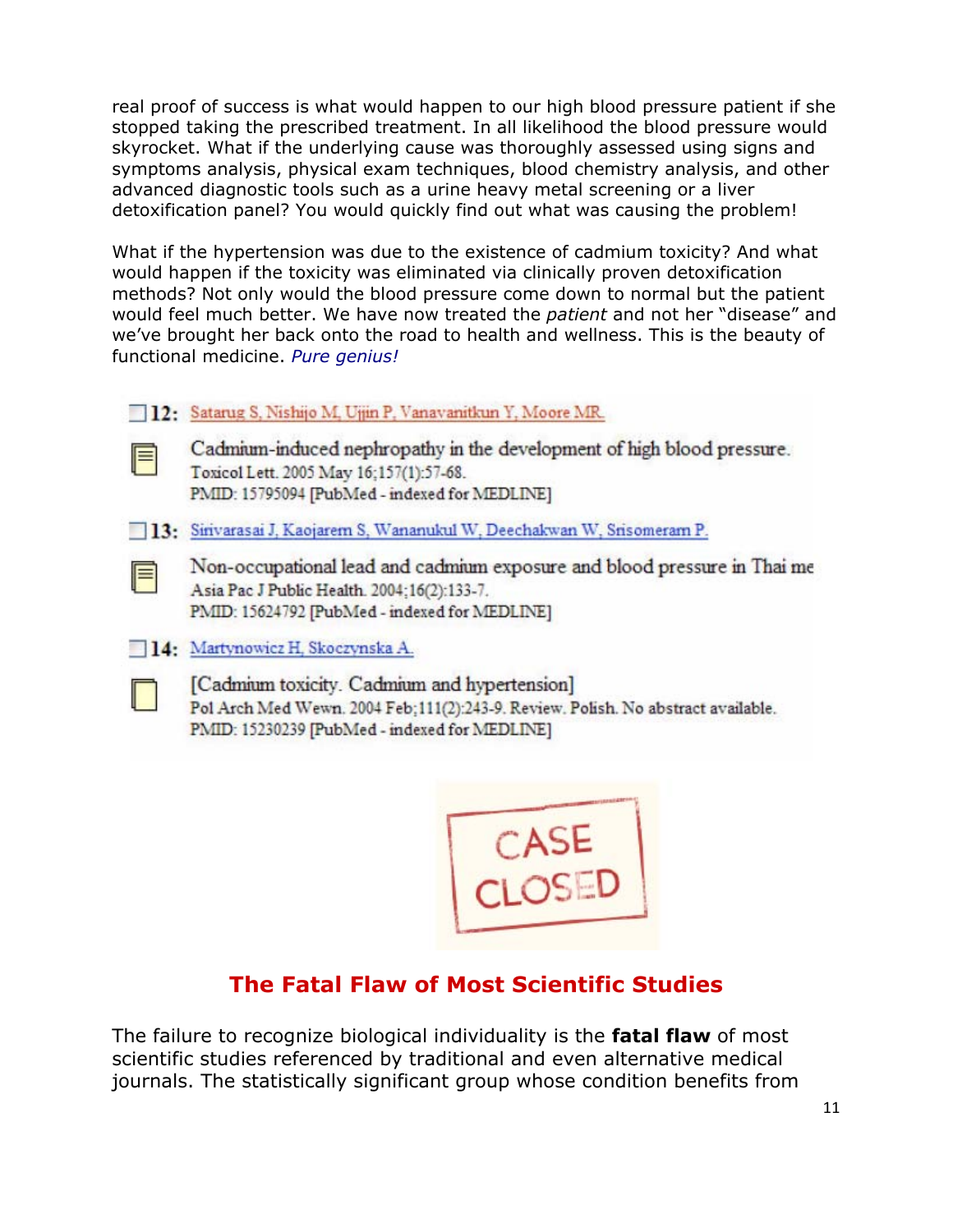real proof of success is what would happen to our high blood pressure patient if she stopped taking the prescribed treatment. In all likelihood the blood pressure would skyrocket. What if the underlying cause was thoroughly assessed using signs and symptoms analysis, physical exam techniques, blood chemistry analysis, and other advanced diagnostic tools such as a urine heavy metal screening or a liver detoxification panel? You would quickly find out what was causing the problem!

What if the hypertension was due to the existence of cadmium toxicity? And what would happen if the toxicity was eliminated via clinically proven detoxification methods? Not only would the blood pressure come down to normal but the patient would feel much better. We have now treated the *patient* and not her "disease" and we've brought her back onto the road to health and wellness. This is the beauty of functional medicine. *Pure genius!* 

- 12: Satarug S, Nishijo M, Ujjin P, Vanavanitkun Y, Moore MR.
- 
- Cadmium-induced nephropathy in the development of high blood pressure. Toxicol Lett. 2005 May 16:157(1):57-68. PMID: 15795094 [PubMed - indexed for MEDLINE]
- 13: Sirivarasai J, Kaojarem S, Wananukul W, Deechakwan W, Srisomeram P.
	- Non-occupational lead and cadmium exposure and blood pressure in Thai me Asia Pac J Public Health. 2004;16(2):133-7. PMID: 15624792 [PubMed - indexed for MEDLINE]
- 14: Martynowicz H, Skoczynska A.



F

[Cadmium toxicity. Cadmium and hypertension] Pol Arch Med Wewn. 2004 Feb; 111(2):243-9. Review. Polish. No abstract available. PMID: 15230239 [PubMed - indexed for MEDLINE]



# **The Fatal Flaw of Most Scientific Studies**

The failure to recognize biological individuality is the **fatal flaw** of most scientific studies referenced by traditional and even alternative medical journals. The statistically significant group whose condition benefits from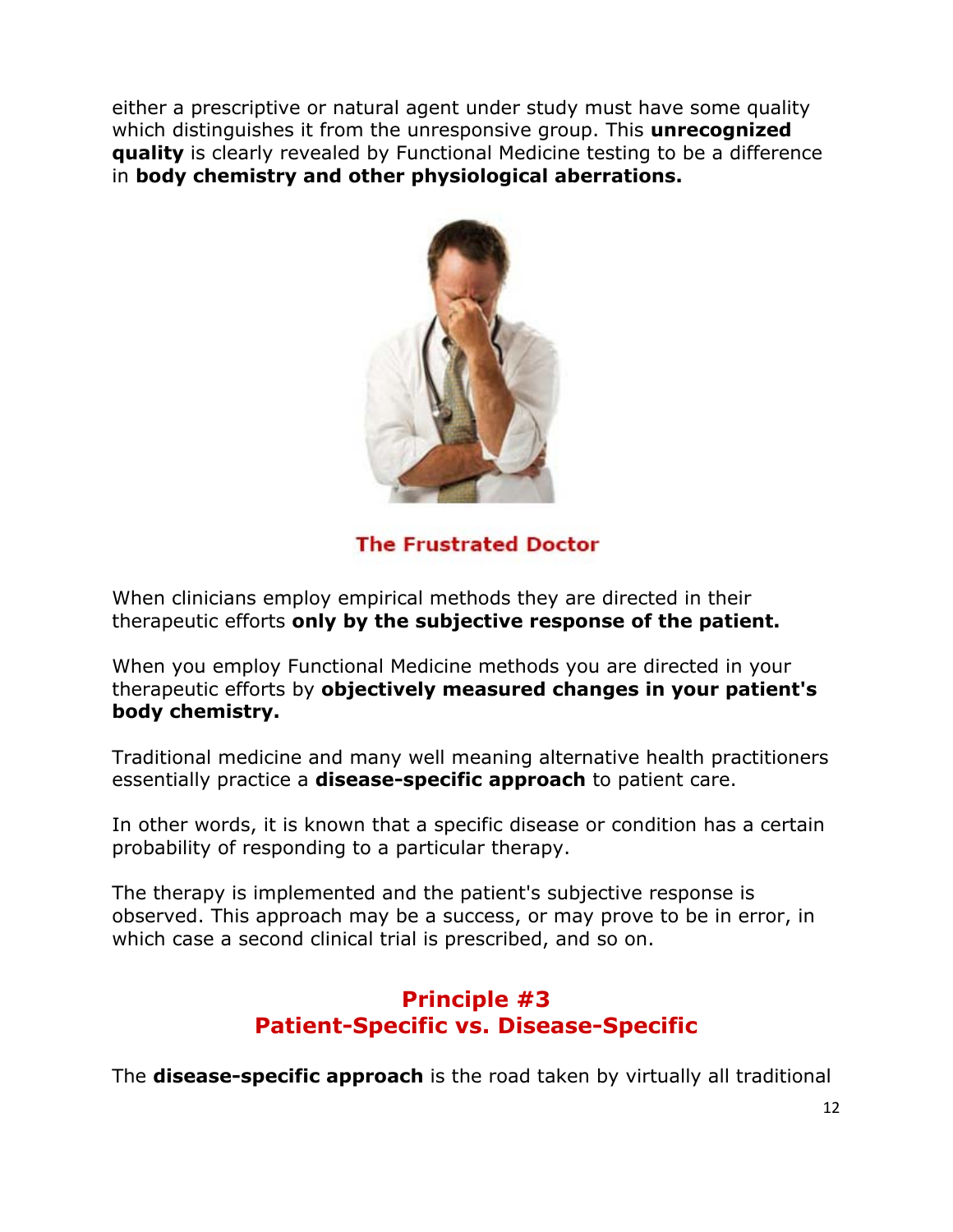either a prescriptive or natural agent under study must have some quality which distinguishes it from the unresponsive group. This **unrecognized quality** is clearly revealed by Functional Medicine testing to be a difference in **body chemistry and other physiological aberrations.** 



**The Frustrated Doctor** 

When clinicians employ empirical methods they are directed in their therapeutic efforts **only by the subjective response of the patient.**

When you employ Functional Medicine methods you are directed in your therapeutic efforts by **objectively measured changes in your patient's body chemistry.** 

Traditional medicine and many well meaning alternative health practitioners essentially practice a **disease-specific approach** to patient care.

In other words, it is known that a specific disease or condition has a certain probability of responding to a particular therapy.

The therapy is implemented and the patient's subjective response is observed. This approach may be a success, or may prove to be in error, in which case a second clinical trial is prescribed, and so on.

# **Principle #3 Patient-Specific vs. Disease-Specific**

The **disease-specific approach** is the road taken by virtually all traditional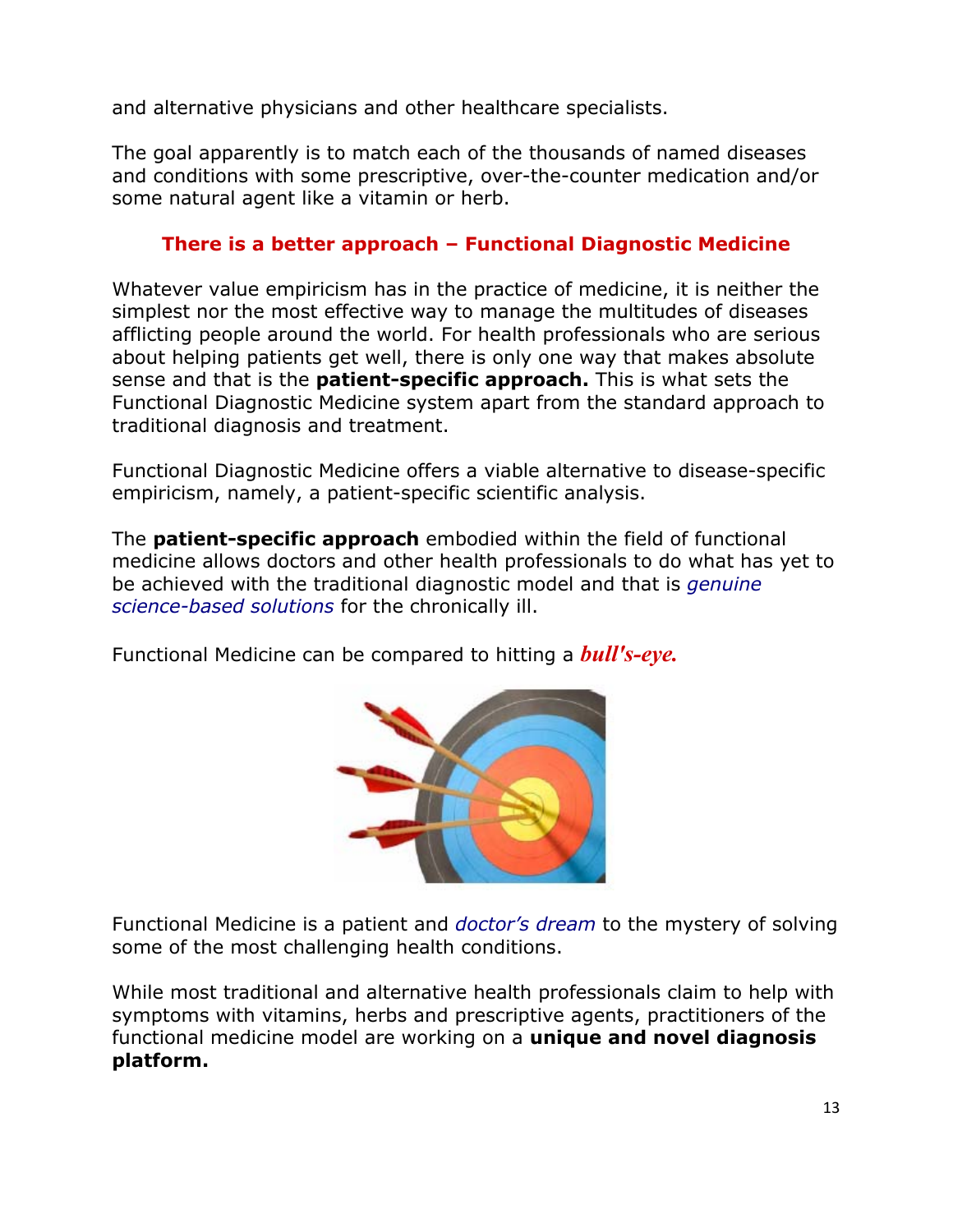and alternative physicians and other healthcare specialists.

The goal apparently is to match each of the thousands of named diseases and conditions with some prescriptive, over-the-counter medication and/or some natural agent like a vitamin or herb.

### **There is a better approach – Functional Diagnostic Medicine**

Whatever value empiricism has in the practice of medicine, it is neither the simplest nor the most effective way to manage the multitudes of diseases afflicting people around the world. For health professionals who are serious about helping patients get well, there is only one way that makes absolute sense and that is the **patient-specific approach.** This is what sets the Functional Diagnostic Medicine system apart from the standard approach to traditional diagnosis and treatment.

Functional Diagnostic Medicine offers a viable alternative to disease-specific empiricism, namely, a patient-specific scientific analysis.

The **patient-specific approach** embodied within the field of functional medicine allows doctors and other health professionals to do what has yet to be achieved with the traditional diagnostic model and that is *genuine science-based solutions* for the chronically ill.

Functional Medicine can be compared to hitting a *bull's-eye.* 



Functional Medicine is a patient and *doctor's dream* to the mystery of solving some of the most challenging health conditions.

While most traditional and alternative health professionals claim to help with symptoms with vitamins, herbs and prescriptive agents, practitioners of the functional medicine model are working on a **unique and novel diagnosis platform.**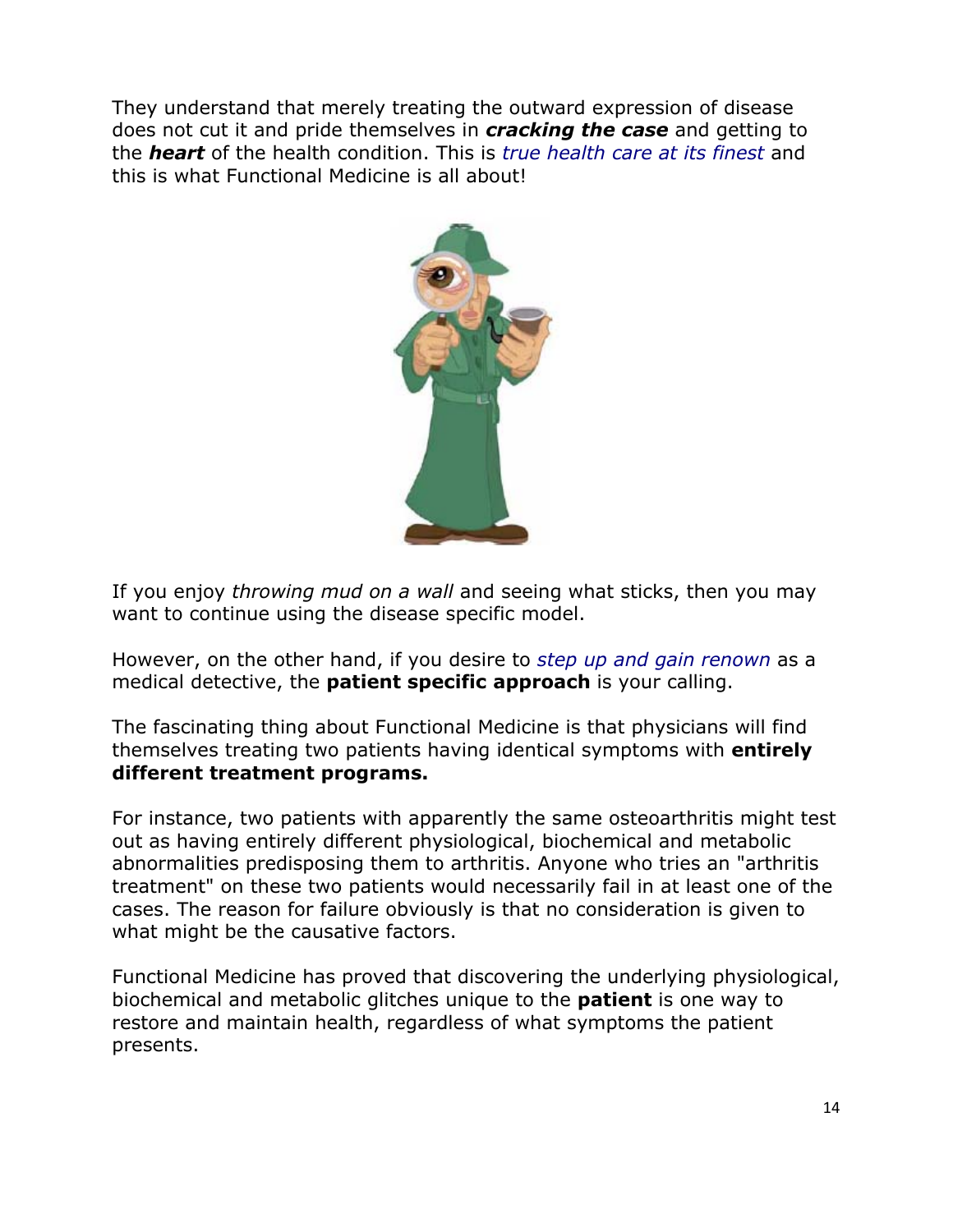They understand that merely treating the outward expression of disease does not cut it and pride themselves in *cracking the case* and getting to the *heart* of the health condition. This is *true health care at its finest* and this is what Functional Medicine is all about!



If you enjoy *throwing mud on a wall* and seeing what sticks, then you may want to continue using the disease specific model.

However, on the other hand, if you desire to *step up and gain renown* as a medical detective, the **patient specific approach** is your calling.

The fascinating thing about Functional Medicine is that physicians will find themselves treating two patients having identical symptoms with **entirely different treatment programs.** 

For instance, two patients with apparently the same osteoarthritis might test out as having entirely different physiological, biochemical and metabolic abnormalities predisposing them to arthritis. Anyone who tries an "arthritis treatment" on these two patients would necessarily fail in at least one of the cases. The reason for failure obviously is that no consideration is given to what might be the causative factors.

Functional Medicine has proved that discovering the underlying physiological, biochemical and metabolic glitches unique to the **patient** is one way to restore and maintain health, regardless of what symptoms the patient presents.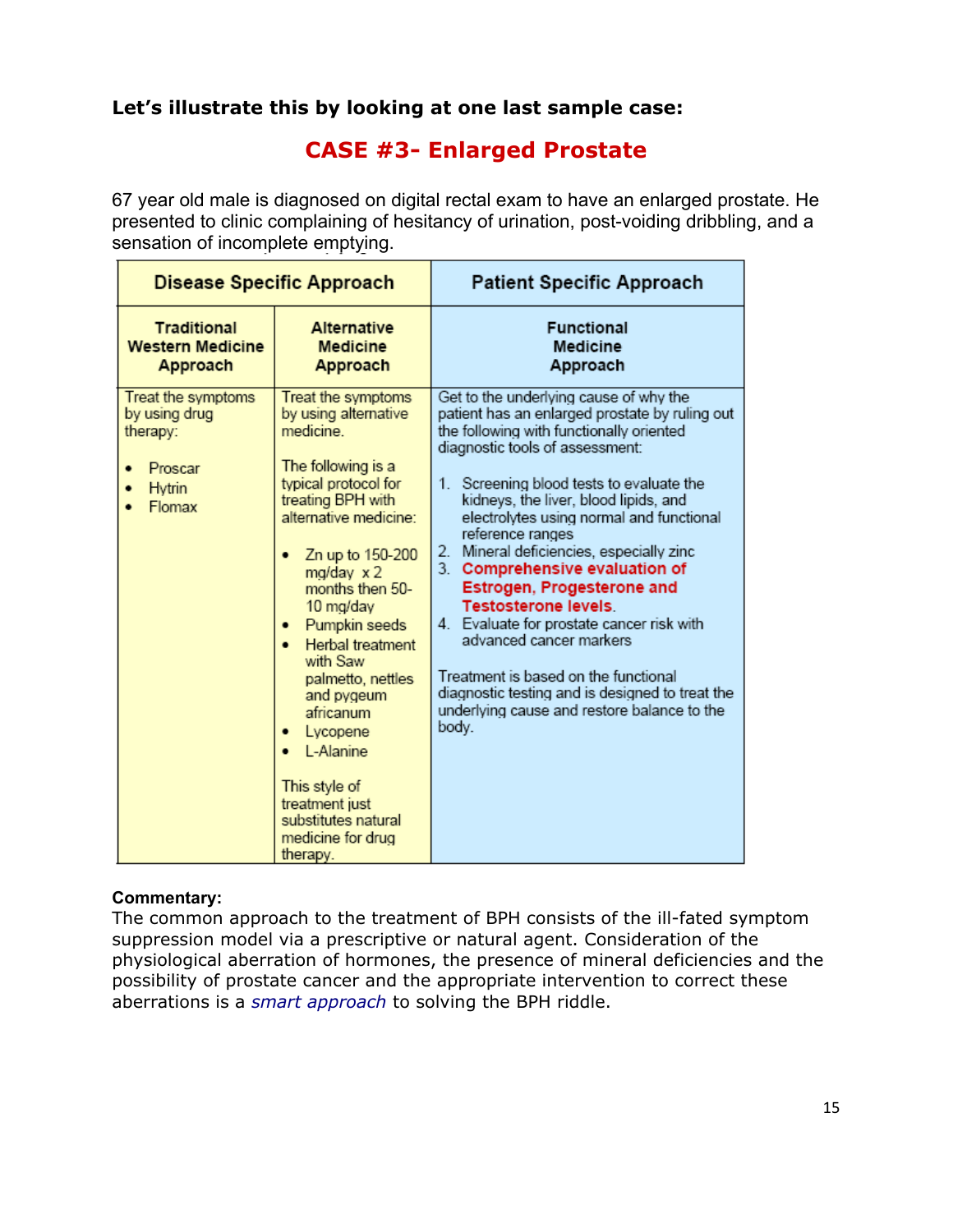### **Let's illustrate this by looking at one last sample case:**

### **CASE #3- Enlarged Prostate**

67 year old male is diagnosed on digital rectal exam to have an enlarged prostate. He presented to clinic complaining of hesitancy of urination, post-voiding dribbling, and a sensation of incomplete emptying.

| <b>Disease Specific Approach</b>                                               |                                                                                                                                                                                                                                                                                                                                                                                                                                                              | <b>Patient Specific Approach</b>                                                                                                                                                                                                                                                                                                                                                                                                                                                                                                                                                                                                                                                                   |
|--------------------------------------------------------------------------------|--------------------------------------------------------------------------------------------------------------------------------------------------------------------------------------------------------------------------------------------------------------------------------------------------------------------------------------------------------------------------------------------------------------------------------------------------------------|----------------------------------------------------------------------------------------------------------------------------------------------------------------------------------------------------------------------------------------------------------------------------------------------------------------------------------------------------------------------------------------------------------------------------------------------------------------------------------------------------------------------------------------------------------------------------------------------------------------------------------------------------------------------------------------------------|
| <b>Traditional</b><br><b>Western Medicine</b><br>Approach                      | <b>Alternative</b><br><b>Medicine</b><br>Approach                                                                                                                                                                                                                                                                                                                                                                                                            | <b>Functional</b><br>Medicine<br>Approach                                                                                                                                                                                                                                                                                                                                                                                                                                                                                                                                                                                                                                                          |
| Treat the symptoms<br>by using drug<br>therapy:<br>Proscar<br>Hytrin<br>Flomax | Treat the symptoms<br>by using alternative<br>medicine<br>The following is a<br>typical protocol for<br>treating BPH with<br>alternative medicine:<br>Zn up to 150-200<br>٠<br>$mg/day \times 2$<br>months then 50-<br>10 mg/day<br>Pumpkin seeds<br>Herbal treatment<br>with Saw<br>palmetto, nettles<br>and pygeum<br>africanum<br>Lycopene<br>٠<br>• L-Alanine<br>This style of<br>treatment just<br>substitutes natural<br>medicine for drug<br>therapy. | Get to the underlying cause of why the<br>patient has an enlarged prostate by ruling out<br>the following with functionally oriented<br>diagnostic tools of assessment:<br>1. Screening blood tests to evaluate the<br>kidneys, the liver, blood lipids, and<br>electrolytes using normal and functional<br>reference ranges<br>2. Mineral deficiencies, especially zinc<br>3. Comprehensive evaluation of<br>Estrogen, Progesterone and<br><b>Testosterone levels.</b><br>4. Evaluate for prostate cancer risk with<br>advanced cancer markers<br>Treatment is based on the functional<br>diagnostic testing and is designed to treat the<br>underlying cause and restore balance to the<br>body. |

#### **Commentary:**

The common approach to the treatment of BPH consists of the ill-fated symptom suppression model via a prescriptive or natural agent. Consideration of the physiological aberration of hormones, the presence of mineral deficiencies and the possibility of prostate cancer and the appropriate intervention to correct these aberrations is a *smart approach* to solving the BPH riddle.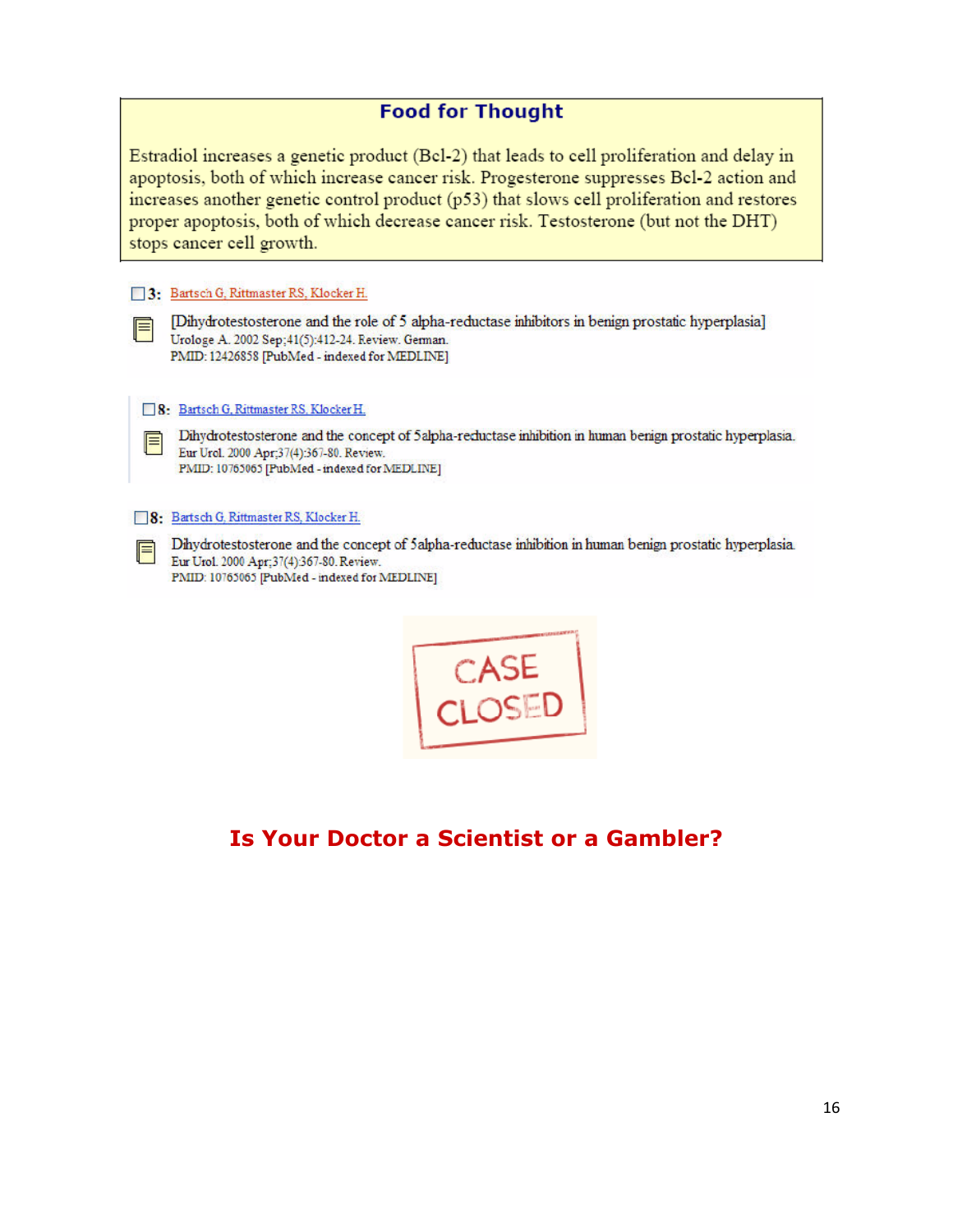### **Food for Thought**

Estradiol increases a genetic product (Bcl-2) that leads to cell proliferation and delay in apoptosis, both of which increase cancer risk. Progesterone suppresses Bcl-2 action and increases another genetic control product (p53) that slows cell proliferation and restores proper apoptosis, both of which decrease cancer risk. Testosterone (but not the DHT) stops cancer cell growth.

#### 3: Bartsch G, Rittmaster RS, Klocker H.

E

F

[Dihydrotestosterone and the role of 5 alpha-reductase inhibitors in benign prostatic hyperplasia] Urologe A. 2002 Sep; 41(5): 412-24. Review. German. PMID: 12426858 [PubMed - indexed for MEDLINE]

8: Bartsch G, Rittmaster RS, Klocker H.

Dihydrotestosterone and the concept of 5 alpha-reductase inhibition in human benign prostatic hyperplasia. Eur Urol. 2000 Apr;37(4):367-80. Review. PMID: 10765065 [PubMed - indexed for MEDLINE]

#### 8: Bartsch G. Rittmaster RS, Klocker H.

Dihydrotestosterone and the concept of 5 alpha-reductase inhibition in human benign prostatic hyperplasia. Eur Urol. 2000 Apr; 37(4):367-80. Review. PMID: 10765065 [PubMed - indexed for MEDLINE]



### **Is Your Doctor a Scientist or a Gambler?**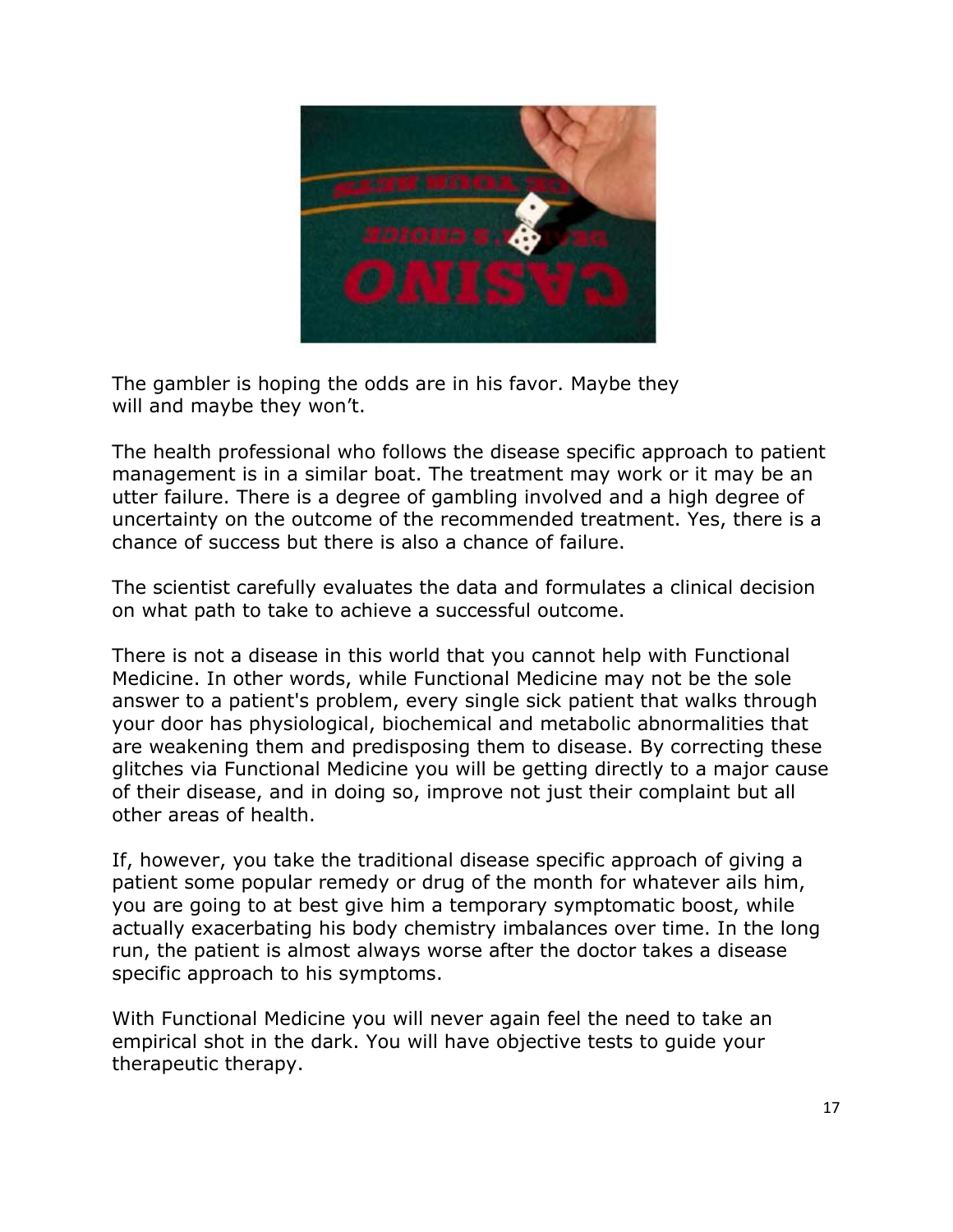

The gambler is hoping the odds are in his favor. Maybe they will and maybe they won't.

The health professional who follows the disease specific approach to patient management is in a similar boat. The treatment may work or it may be an utter failure. There is a degree of gambling involved and a high degree of uncertainty on the outcome of the recommended treatment. Yes, there is a chance of success but there is also a chance of failure.

The scientist carefully evaluates the data and formulates a clinical decision on what path to take to achieve a successful outcome.

There is not a disease in this world that you cannot help with Functional Medicine. In other words, while Functional Medicine may not be the sole answer to a patient's problem, every single sick patient that walks through your door has physiological, biochemical and metabolic abnormalities that are weakening them and predisposing them to disease. By correcting these glitches via Functional Medicine you will be getting directly to a major cause of their disease, and in doing so, improve not just their complaint but all other areas of health.

If, however, you take the traditional disease specific approach of giving a patient some popular remedy or drug of the month for whatever ails him, you are going to at best give him a temporary symptomatic boost, while actually exacerbating his body chemistry imbalances over time. In the long run, the patient is almost always worse after the doctor takes a disease specific approach to his symptoms.

With Functional Medicine you will never again feel the need to take an empirical shot in the dark. You will have objective tests to guide your therapeutic therapy.